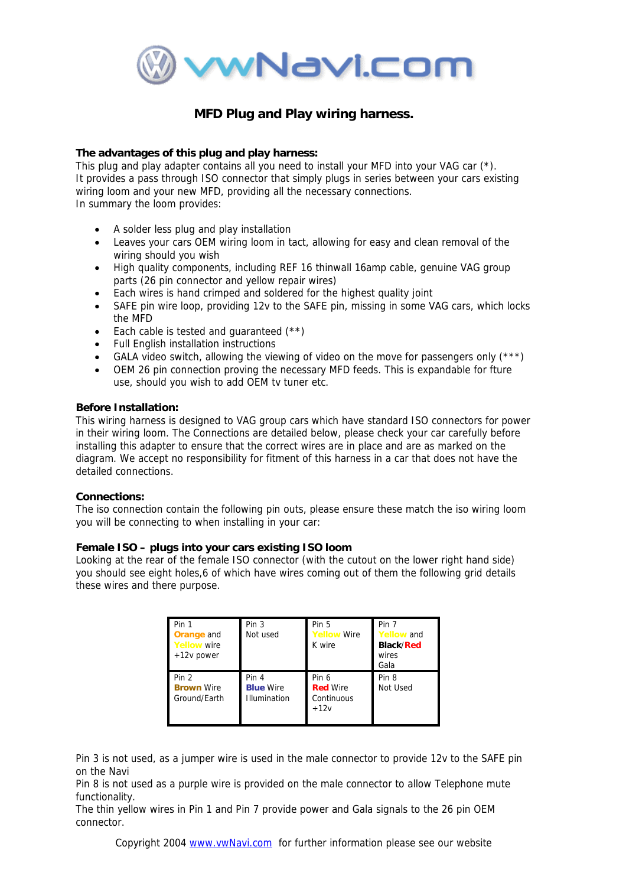

# **MFD Plug and Play wiring harness.**

# **The advantages of this plug and play harness:**

This plug and play adapter contains all you need to install your MFD into your VAG car (\*). It provides a pass through ISO connector that simply plugs in series between your cars existing wiring loom and your new MFD, providing all the necessary connections. In summary the loom provides:

- A solder less plug and play installation
- Leaves your cars OEM wiring loom in tact, allowing for easy and clean removal of the wiring should you wish
- High quality components, including REF 16 thinwall 16amp cable, genuine VAG group parts (26 pin connector and yellow repair wires)
- Each wires is hand crimped and soldered for the highest quality joint
- SAFE pin wire loop, providing 12y to the SAFE pin, missing in some VAG cars, which locks the MFD
- Each cable is tested and quaranteed  $(**)$
- Full English installation instructions
- GALA video switch, allowing the viewing of video on the move for passengers only  $(***)$
- OEM 26 pin connection proving the necessary MFD feeds. This is expandable for fture use, should you wish to add OEM tv tuner etc.

## **Before Installation:**

This wiring harness is designed to VAG group cars which have standard ISO connectors for power in their wiring loom. The Connections are detailed below, please check your car carefully before installing this adapter to ensure that the correct wires are in place and are as marked on the diagram. We accept no responsibility for fitment of this harness in a car that does not have the detailed connections.

#### **Connections:**

The iso connection contain the following pin outs, please ensure these match the iso wiring loom you will be connecting to when installing in your car:

## **Female ISO – plugs into your cars existing ISO loom**

Looking at the rear of the female ISO connector (with the cutout on the lower right hand side) you should see eight holes,6 of which have wires coming out of them the following grid details these wires and there purpose.

| Pin 1<br><b>Orange</b> and<br><b>Yellow wire</b><br>$+12v$ power | Pin 3<br>Not used                         | Pin 5<br><b>Yellow Wire</b><br>K wire            | Pin 7<br><b>Yellow</b> and<br><b>Black/Red</b><br>wires<br>Gala |
|------------------------------------------------------------------|-------------------------------------------|--------------------------------------------------|-----------------------------------------------------------------|
| Pin 2<br><b>Brown Wire</b><br>Ground/Earth                       | Pin 4<br><b>Blue Wire</b><br>Illumination | Pin 6<br><b>Red Wire</b><br>Continuous<br>$+12v$ | Pin 8<br>Not Used                                               |

Pin 3 is not used, as a jumper wire is used in the male connector to provide 12v to the SAFE pin on the Navi

Pin 8 is not used as a purple wire is provided on the male connector to allow Telephone mute functionality.

The thin yellow wires in Pin 1 and Pin 7 provide power and Gala signals to the 26 pin OEM connector.

Copyright 2004 www.vwNavi.com for further information please see our website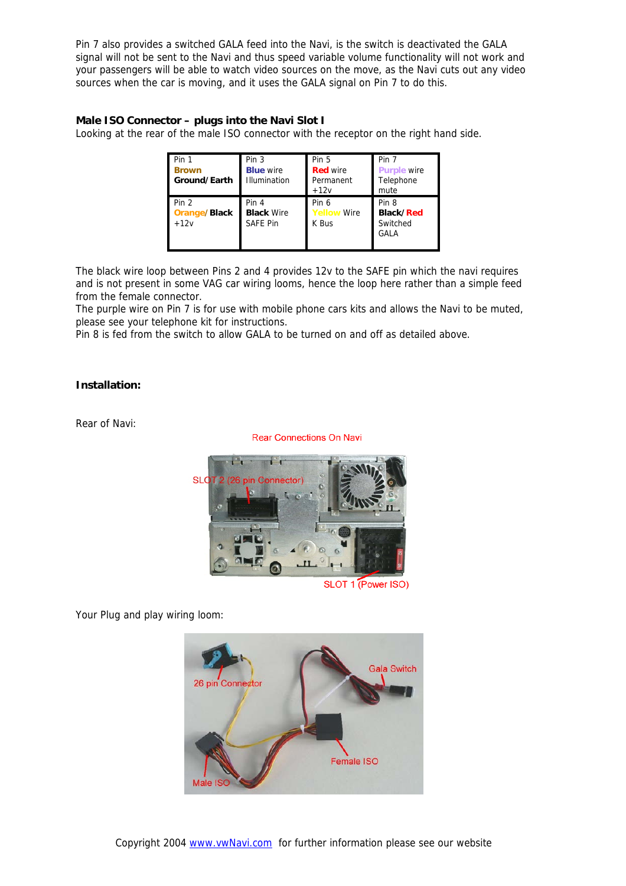Pin 7 also provides a switched GALA feed into the Navi, is the switch is deactivated the GALA signal will not be sent to the Navi and thus speed variable volume functionality will not work and your passengers will be able to watch video sources on the move, as the Navi cuts out any video sources when the car is moving, and it uses the GALA signal on Pin 7 to do this.

# **Male ISO Connector – plugs into the Navi Slot I**

Looking at the rear of the male ISO connector with the receptor on the right hand side.

| Pin 1<br><b>Brown</b><br>Ground/Earth  | Pin <sub>3</sub><br><b>Blue</b> wire<br>Illumination | Pin 5<br><b>Red wire</b><br>Permanent<br>$+12v$ | Pin 7<br><b>Purple wire</b><br>Telephone<br>mute |
|----------------------------------------|------------------------------------------------------|-------------------------------------------------|--------------------------------------------------|
| Pin 2<br><b>Orange/Black</b><br>$+12v$ | Pin 4<br><b>Black Wire</b><br><b>SAFE Pin</b>        | Pin 6<br><b>Yellow Wire</b><br>K Bus            | Pin 8<br><b>Black/Red</b><br>Switched<br>GALA    |

The black wire loop between Pins 2 and 4 provides 12v to the SAFE pin which the navi requires and is not present in some VAG car wiring looms, hence the loop here rather than a simple feed from the female connector.

The purple wire on Pin 7 is for use with mobile phone cars kits and allows the Navi to be muted, please see your telephone kit for instructions.

Pin 8 is fed from the switch to allow GALA to be turned on and off as detailed above.

## **Installation:**

Rear of Navi:

**Rear Connections On Navi** 



SLOT 1 (Power ISO)

Your Plug and play wiring loom: